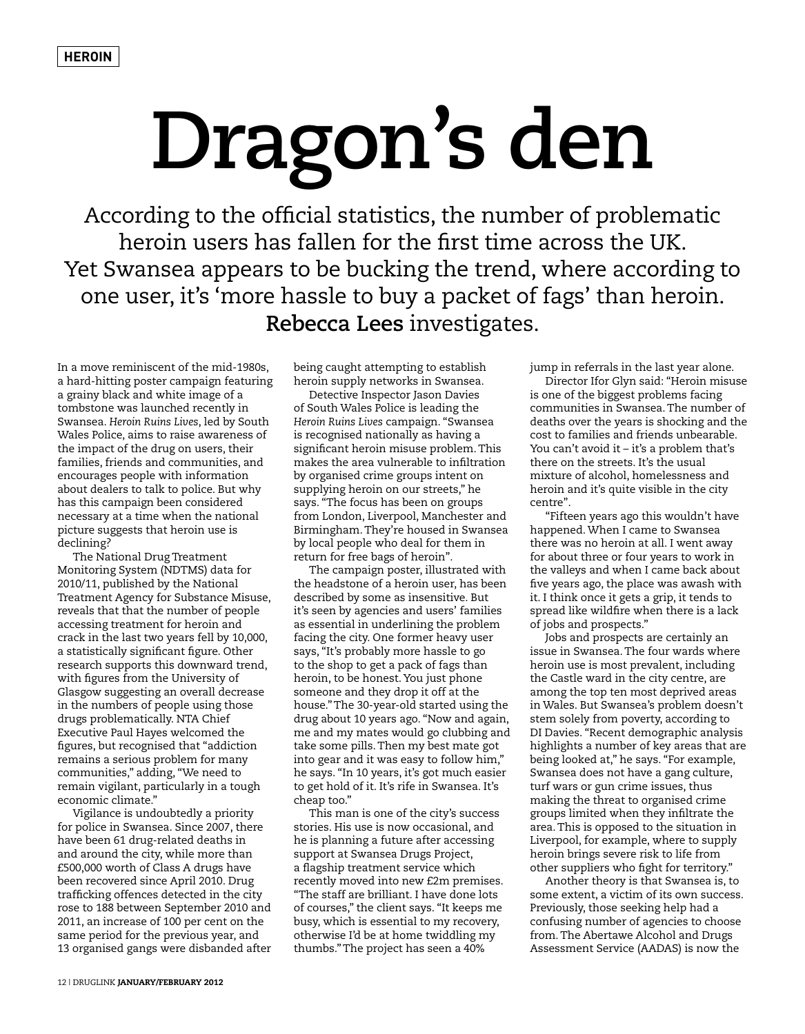## **Dragon's den**

According to the official statistics, the number of problematic heroin users has fallen for the first time across the UK. Yet Swansea appears to be bucking the trend, where according to one user, it's 'more hassle to buy a packet of fags' than heroin. **Rebecca Lees** investigates.

In a move reminiscent of the mid-1980s, a hard-hitting poster campaign featuring a grainy black and white image of a tombstone was launched recently in Swansea. *Heroin Ruins Lives*, led by South Wales Police, aims to raise awareness of the impact of the drug on users, their families, friends and communities, and encourages people with information about dealers to talk to police. But why has this campaign been considered necessary at a time when the national picture suggests that heroin use is declining?

The National Drug Treatment Monitoring System (NDTMS) data for 2010/11, published by the National Treatment Agency for Substance Misuse, reveals that that the number of people accessing treatment for heroin and crack in the last two years fell by 10,000, a statistically significant figure. Other research supports this downward trend, with figures from the University of Glasgow suggesting an overall decrease in the numbers of people using those drugs problematically. NTA Chief Executive Paul Hayes welcomed the figures, but recognised that "addiction remains a serious problem for many communities," adding, "We need to remain vigilant, particularly in a tough economic climate."

Vigilance is undoubtedly a priority for police in Swansea. Since 2007, there have been 61 drug-related deaths in and around the city, while more than £500,000 worth of Class A drugs have been recovered since April 2010. Drug trafficking offences detected in the city rose to 188 between September 2010 and 2011, an increase of 100 per cent on the same period for the previous year, and 13 organised gangs were disbanded after

being caught attempting to establish heroin supply networks in Swansea.

Detective Inspector Jason Davies of South Wales Police is leading the *Heroin Ruins Lives* campaign. "Swansea is recognised nationally as having a significant heroin misuse problem. This makes the area vulnerable to infiltration by organised crime groups intent on supplying heroin on our streets," he says. "The focus has been on groups from London, Liverpool, Manchester and Birmingham. They're housed in Swansea by local people who deal for them in return for free bags of heroin".

The campaign poster, illustrated with the headstone of a heroin user, has been described by some as insensitive. But it's seen by agencies and users' families as essential in underlining the problem facing the city. One former heavy user says, "It's probably more hassle to go to the shop to get a pack of fags than heroin, to be honest. You just phone someone and they drop it off at the house." The 30-year-old started using the drug about 10 years ago. "Now and again, me and my mates would go clubbing and take some pills. Then my best mate got into gear and it was easy to follow him," he says. "In 10 years, it's got much easier to get hold of it. It's rife in Swansea. It's cheap too."

This man is one of the city's success stories. His use is now occasional, and he is planning a future after accessing support at Swansea Drugs Project, a flagship treatment service which recently moved into new £2m premises. "The staff are brilliant. I have done lots of courses," the client says. "It keeps me busy, which is essential to my recovery, otherwise I'd be at home twiddling my thumbs." The project has seen a 40%

jump in referrals in the last year alone.

Director Ifor Glyn said: "Heroin misuse is one of the biggest problems facing communities in Swansea. The number of deaths over the years is shocking and the cost to families and friends unbearable. You can't avoid it – it's a problem that's there on the streets. It's the usual mixture of alcohol, homelessness and heroin and it's quite visible in the city centre".

"Fifteen years ago this wouldn't have happened. When I came to Swansea there was no heroin at all. I went away for about three or four years to work in the valleys and when I came back about five years ago, the place was awash with it. I think once it gets a grip, it tends to spread like wildfire when there is a lack of jobs and prospects."

Jobs and prospects are certainly an issue in Swansea. The four wards where heroin use is most prevalent, including the Castle ward in the city centre, are among the top ten most deprived areas in Wales. But Swansea's problem doesn't stem solely from poverty, according to DI Davies. "Recent demographic analysis highlights a number of key areas that are being looked at," he says. "For example, Swansea does not have a gang culture, turf wars or gun crime issues, thus making the threat to organised crime groups limited when they infiltrate the area. This is opposed to the situation in Liverpool, for example, where to supply heroin brings severe risk to life from other suppliers who fight for territory."

Another theory is that Swansea is, to some extent, a victim of its own success. Previously, those seeking help had a confusing number of agencies to choose from. The Abertawe Alcohol and Drugs Assessment Service (AADAS) is now the